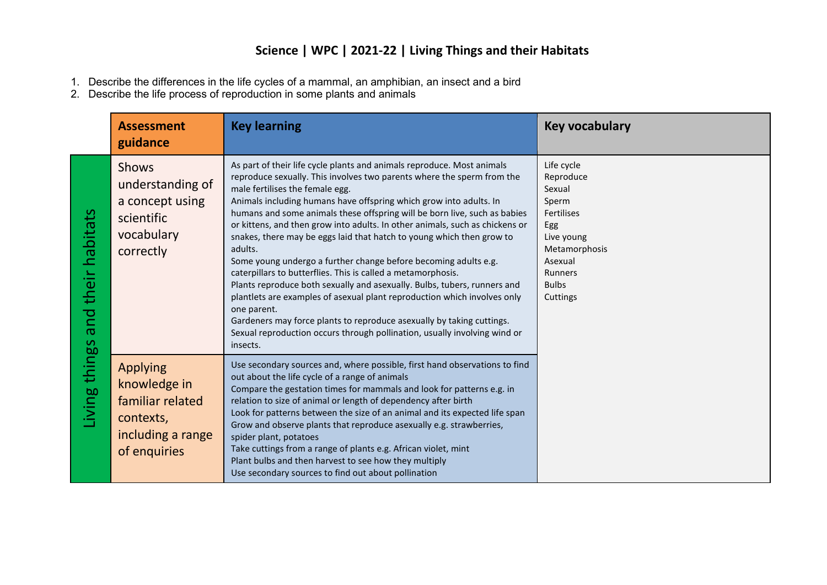## **Science | WPC | 2021-22 | Living Things and their Habitats**

- 1. Describe the differences in the life cycles of a mammal, an amphibian, an insect and a bird
- 2. Describe the life process of reproduction in some plants and animals

|                                          | <b>Assessment</b><br>guidance                                                                         | <b>Key learning</b>                                                                                                                                                                                                                                                                                                                                                                                                                                                                                                                                                                                                                                                                                                                                                                                                                                                                                                                                                                    | <b>Key vocabulary</b>                                                                                                                                          |
|------------------------------------------|-------------------------------------------------------------------------------------------------------|----------------------------------------------------------------------------------------------------------------------------------------------------------------------------------------------------------------------------------------------------------------------------------------------------------------------------------------------------------------------------------------------------------------------------------------------------------------------------------------------------------------------------------------------------------------------------------------------------------------------------------------------------------------------------------------------------------------------------------------------------------------------------------------------------------------------------------------------------------------------------------------------------------------------------------------------------------------------------------------|----------------------------------------------------------------------------------------------------------------------------------------------------------------|
| habitats<br>their<br>pue<br>lving things | <b>Shows</b><br>understanding of<br>a concept using<br>scientific<br>vocabulary<br>correctly          | As part of their life cycle plants and animals reproduce. Most animals<br>reproduce sexually. This involves two parents where the sperm from the<br>male fertilises the female egg.<br>Animals including humans have offspring which grow into adults. In<br>humans and some animals these offspring will be born live, such as babies<br>or kittens, and then grow into adults. In other animals, such as chickens or<br>snakes, there may be eggs laid that hatch to young which then grow to<br>adults.<br>Some young undergo a further change before becoming adults e.g.<br>caterpillars to butterflies. This is called a metamorphosis.<br>Plants reproduce both sexually and asexually. Bulbs, tubers, runners and<br>plantlets are examples of asexual plant reproduction which involves only<br>one parent.<br>Gardeners may force plants to reproduce asexually by taking cuttings.<br>Sexual reproduction occurs through pollination, usually involving wind or<br>insects. | Life cycle<br>Reproduce<br>Sexual<br>Sperm<br><b>Fertilises</b><br>Egg<br>Live young<br>Metamorphosis<br>Asexual<br><b>Runners</b><br><b>Bulbs</b><br>Cuttings |
|                                          | <b>Applying</b><br>knowledge in<br>familiar related<br>contexts,<br>including a range<br>of enquiries | Use secondary sources and, where possible, first hand observations to find<br>out about the life cycle of a range of animals<br>Compare the gestation times for mammals and look for patterns e.g. in<br>relation to size of animal or length of dependency after birth<br>Look for patterns between the size of an animal and its expected life span<br>Grow and observe plants that reproduce asexually e.g. strawberries,<br>spider plant, potatoes<br>Take cuttings from a range of plants e.g. African violet, mint<br>Plant bulbs and then harvest to see how they multiply<br>Use secondary sources to find out about pollination                                                                                                                                                                                                                                                                                                                                               |                                                                                                                                                                |